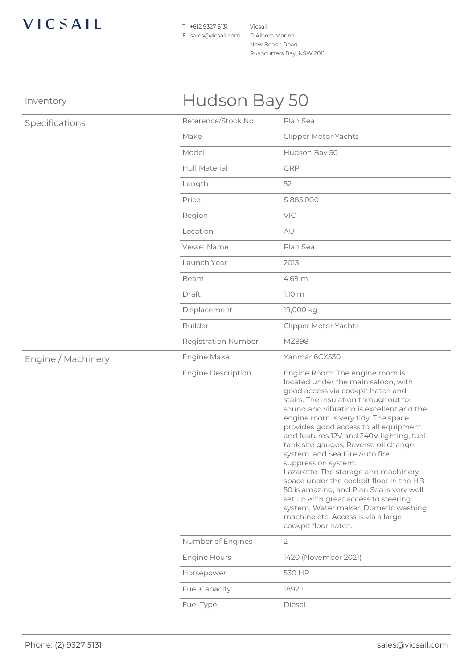## VICSAIL

T +612 9327 5131 E sales@vicsail.com D'Albora Marina

Vicsail New Beach Road Rushcutters Bay, NSW 2011

|  |  |  |  |  |  |  | Inventory |  |
|--|--|--|--|--|--|--|-----------|--|
|--|--|--|--|--|--|--|-----------|--|

Specifications

Engine / Machinery

Hudson Bay 50

| Reference/Stock No         | Plan Sea                                                                                                                                                                                                                                                                                                                                                                                                                                                                                                                                                                                                                                                                                                   |  |  |
|----------------------------|------------------------------------------------------------------------------------------------------------------------------------------------------------------------------------------------------------------------------------------------------------------------------------------------------------------------------------------------------------------------------------------------------------------------------------------------------------------------------------------------------------------------------------------------------------------------------------------------------------------------------------------------------------------------------------------------------------|--|--|
| Make                       | <b>Clipper Motor Yachts</b>                                                                                                                                                                                                                                                                                                                                                                                                                                                                                                                                                                                                                                                                                |  |  |
| Model                      | Hudson Bay 50                                                                                                                                                                                                                                                                                                                                                                                                                                                                                                                                                                                                                                                                                              |  |  |
| Hull Material              | GRP                                                                                                                                                                                                                                                                                                                                                                                                                                                                                                                                                                                                                                                                                                        |  |  |
| Length                     | 52                                                                                                                                                                                                                                                                                                                                                                                                                                                                                                                                                                                                                                                                                                         |  |  |
| Price                      | \$885.000                                                                                                                                                                                                                                                                                                                                                                                                                                                                                                                                                                                                                                                                                                  |  |  |
| Region                     | VIC                                                                                                                                                                                                                                                                                                                                                                                                                                                                                                                                                                                                                                                                                                        |  |  |
| Location                   | AU                                                                                                                                                                                                                                                                                                                                                                                                                                                                                                                                                                                                                                                                                                         |  |  |
| Vessel Name                | Plan Sea                                                                                                                                                                                                                                                                                                                                                                                                                                                                                                                                                                                                                                                                                                   |  |  |
| Launch Year                | 2013                                                                                                                                                                                                                                                                                                                                                                                                                                                                                                                                                                                                                                                                                                       |  |  |
| Beam                       | 4.69 m                                                                                                                                                                                                                                                                                                                                                                                                                                                                                                                                                                                                                                                                                                     |  |  |
| Draft                      | $1.10 \text{ m}$                                                                                                                                                                                                                                                                                                                                                                                                                                                                                                                                                                                                                                                                                           |  |  |
| Displacement               | 19,000 kg                                                                                                                                                                                                                                                                                                                                                                                                                                                                                                                                                                                                                                                                                                  |  |  |
| <b>Builder</b>             | <b>Clipper Motor Yachts</b>                                                                                                                                                                                                                                                                                                                                                                                                                                                                                                                                                                                                                                                                                |  |  |
| <b>Registration Number</b> | MZ898                                                                                                                                                                                                                                                                                                                                                                                                                                                                                                                                                                                                                                                                                                      |  |  |
| Engine Make                | Yanmar 6CX530                                                                                                                                                                                                                                                                                                                                                                                                                                                                                                                                                                                                                                                                                              |  |  |
| <b>Engine Description</b>  | Engine Room: The engine room is<br>located under the main saloon, with<br>good access via cockpit hatch and<br>stairs. The insulation throughout for<br>sound and vibration is excellent and the<br>engine room is very tidy. The space<br>provides good access to all equipment<br>and features 12V and 240V lighting, fuel<br>tank site gauges, Reverso oil change<br>system, and Sea Fire Auto fire<br>suppression system.<br>Lazarette: The storage and machinery<br>space under the cockpit floor in the HB<br>50 is amazing, and Plan Sea is very well<br>set up with great access to steering<br>system, Water maker, Dometic washing<br>machine etc. Access is via a large<br>cockpit floor hatch. |  |  |
| Number of Engines          | 2                                                                                                                                                                                                                                                                                                                                                                                                                                                                                                                                                                                                                                                                                                          |  |  |
| <b>Engine Hours</b>        | 1420 (November 2021)                                                                                                                                                                                                                                                                                                                                                                                                                                                                                                                                                                                                                                                                                       |  |  |
| Horsepower                 | 530 HP                                                                                                                                                                                                                                                                                                                                                                                                                                                                                                                                                                                                                                                                                                     |  |  |
| <b>Fuel Capacity</b>       | 1892L                                                                                                                                                                                                                                                                                                                                                                                                                                                                                                                                                                                                                                                                                                      |  |  |
| Fuel Type                  | <b>Diesel</b>                                                                                                                                                                                                                                                                                                                                                                                                                                                                                                                                                                                                                                                                                              |  |  |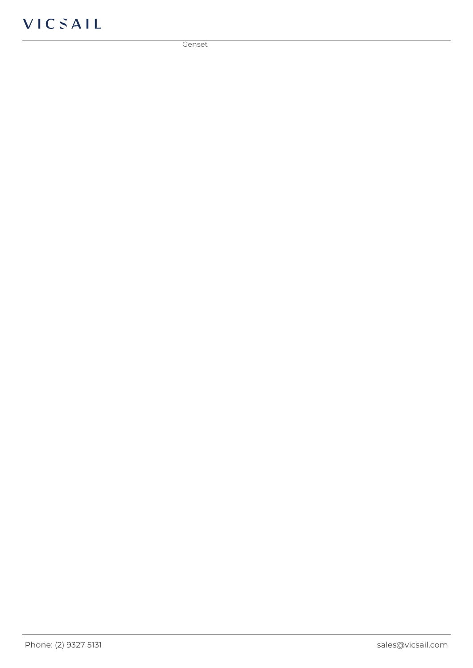## VICSAIL

**Genset**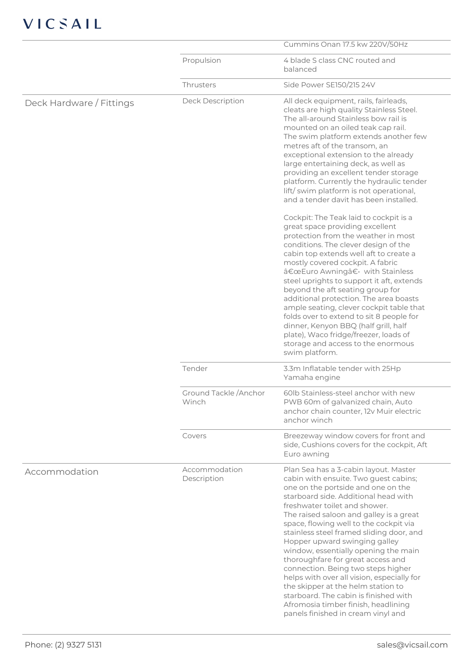|                          |                                | Cummins Onan 17.5 kw 220V/50Hz                                                                                                                                                                                                                                                                                                                                                                                                                                                                                                                                                                                                                                                               |
|--------------------------|--------------------------------|----------------------------------------------------------------------------------------------------------------------------------------------------------------------------------------------------------------------------------------------------------------------------------------------------------------------------------------------------------------------------------------------------------------------------------------------------------------------------------------------------------------------------------------------------------------------------------------------------------------------------------------------------------------------------------------------|
|                          | Propulsion                     | 4 blade S class CNC routed and<br>balanced                                                                                                                                                                                                                                                                                                                                                                                                                                                                                                                                                                                                                                                   |
|                          | Thrusters                      | Side Power SE150/215 24V                                                                                                                                                                                                                                                                                                                                                                                                                                                                                                                                                                                                                                                                     |
| Deck Hardware / Fittings | Deck Description               | All deck equipment, rails, fairleads,<br>cleats are high quality Stainless Steel.<br>The all-around Stainless bow rail is<br>mounted on an oiled teak cap rail.<br>The swim platform extends another few<br>metres aft of the transom, an<br>exceptional extension to the already<br>large entertaining deck, as well as<br>providing an excellent tender storage<br>platform. Currently the hydraulic tender<br>lift/ swim platform is not operational,<br>and a tender davit has been installed.                                                                                                                                                                                           |
|                          |                                | Cockpit: The Teak laid to cockpit is a<br>great space providing excellent<br>protection from the weather in most<br>conditions. The clever design of the<br>cabin top extends well aft to create a<br>mostly covered cockpit. A fabric<br>"Euro Awning†· with Stainless<br>steel uprights to support it aft, extends<br>beyond the aft seating group for<br>additional protection. The area boasts<br>ample seating, clever cockpit table that<br>folds over to extend to sit 8 people for<br>dinner, Kenyon BBQ (half grill, half<br>plate), Waco fridge/freezer, loads of<br>storage and access to the enormous<br>swim platform.                                                          |
|                          | Tender                         | 3.3m Inflatable tender with 25Hp<br>Yamaha engine                                                                                                                                                                                                                                                                                                                                                                                                                                                                                                                                                                                                                                            |
|                          | Ground Tackle /Anchor<br>Winch | 60lb Stainless-steel anchor with new<br>PWB 60m of galvanized chain, Auto<br>anchor chain counter, 12v Muir electric<br>anchor winch                                                                                                                                                                                                                                                                                                                                                                                                                                                                                                                                                         |
|                          | Covers                         | Breezeway window covers for front and<br>side, Cushions covers for the cockpit, Aft<br>Euro awning                                                                                                                                                                                                                                                                                                                                                                                                                                                                                                                                                                                           |
| Accommodation            | Accommodation<br>Description   | Plan Sea has a 3-cabin layout. Master<br>cabin with ensuite. Two guest cabins;<br>one on the portside and one on the<br>starboard side. Additional head with<br>freshwater toilet and shower.<br>The raised saloon and galley is a great<br>space, flowing well to the cockpit via<br>stainless steel framed sliding door, and<br>Hopper upward swinging galley<br>window, essentially opening the main<br>thoroughfare for great access and<br>connection. Being two steps higher<br>helps with over all vision, especially for<br>the skipper at the helm station to<br>starboard. The cabin is finished with<br>Afromosia timber finish, headlining<br>panels finished in cream vinyl and |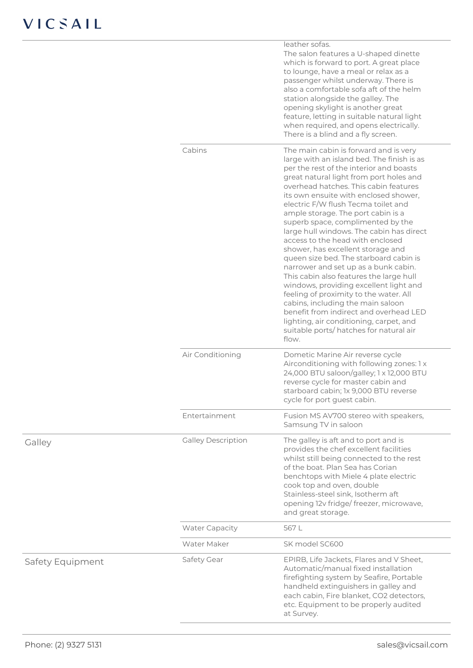|                  |                           | leather sofas.<br>The salon features a U-shaped dinette                                                                                                                                                                                                                                                                                                                                                                                                                                                                                                                                                                                                                                                                                                                                                                                                                                          |
|------------------|---------------------------|--------------------------------------------------------------------------------------------------------------------------------------------------------------------------------------------------------------------------------------------------------------------------------------------------------------------------------------------------------------------------------------------------------------------------------------------------------------------------------------------------------------------------------------------------------------------------------------------------------------------------------------------------------------------------------------------------------------------------------------------------------------------------------------------------------------------------------------------------------------------------------------------------|
|                  |                           | which is forward to port. A great place<br>to lounge, have a meal or relax as a<br>passenger whilst underway. There is<br>also a comfortable sofa aft of the helm<br>station alongside the galley. The<br>opening skylight is another great<br>feature, letting in suitable natural light<br>when required, and opens electrically.<br>There is a blind and a fly screen.                                                                                                                                                                                                                                                                                                                                                                                                                                                                                                                        |
|                  | Cabins                    | The main cabin is forward and is very<br>large with an island bed. The finish is as<br>per the rest of the interior and boasts<br>great natural light from port holes and<br>overhead hatches. This cabin features<br>its own ensuite with enclosed shower,<br>electric F/W flush Tecma toilet and<br>ample storage. The port cabin is a<br>superb space, complimented by the<br>large hull windows. The cabin has direct<br>access to the head with enclosed<br>shower, has excellent storage and<br>queen size bed. The starboard cabin is<br>narrower and set up as a bunk cabin.<br>This cabin also features the large hull<br>windows, providing excellent light and<br>feeling of proximity to the water. All<br>cabins, including the main saloon<br>benefit from indirect and overhead LED<br>lighting, air conditioning, carpet, and<br>suitable ports/hatches for natural air<br>flow. |
|                  | Air Conditioning          | Dometic Marine Air reverse cycle<br>Airconditioning with following zones: 1 x<br>24,000 BTU saloon/galley; 1 x 12,000 BTU<br>reverse cycle for master cabin and<br>starboard cabin; 1x 9,000 BTU reverse<br>cycle for port guest cabin.                                                                                                                                                                                                                                                                                                                                                                                                                                                                                                                                                                                                                                                          |
|                  | Entertainment             | Fusion MS AV700 stereo with speakers,<br>Samsung TV in saloon                                                                                                                                                                                                                                                                                                                                                                                                                                                                                                                                                                                                                                                                                                                                                                                                                                    |
| Galley           | <b>Galley Description</b> | The galley is aft and to port and is<br>provides the chef excellent facilities<br>whilst still being connected to the rest<br>of the boat. Plan Sea has Corian<br>benchtops with Miele 4 plate electric<br>cook top and oven, double<br>Stainless-steel sink, Isotherm aft<br>opening 12v fridge/freezer, microwave,<br>and great storage.                                                                                                                                                                                                                                                                                                                                                                                                                                                                                                                                                       |
|                  | <b>Water Capacity</b>     | 567L                                                                                                                                                                                                                                                                                                                                                                                                                                                                                                                                                                                                                                                                                                                                                                                                                                                                                             |
|                  | Water Maker               | SK model SC600                                                                                                                                                                                                                                                                                                                                                                                                                                                                                                                                                                                                                                                                                                                                                                                                                                                                                   |
| Safety Equipment | Safety Gear               | EPIRB, Life Jackets, Flares and V Sheet,<br>Automatic/manual fixed installation<br>firefighting system by Seafire, Portable<br>handheld extinguishers in galley and<br>each cabin, Fire blanket, CO2 detectors,<br>etc. Equipment to be properly audited<br>at Survey.                                                                                                                                                                                                                                                                                                                                                                                                                                                                                                                                                                                                                           |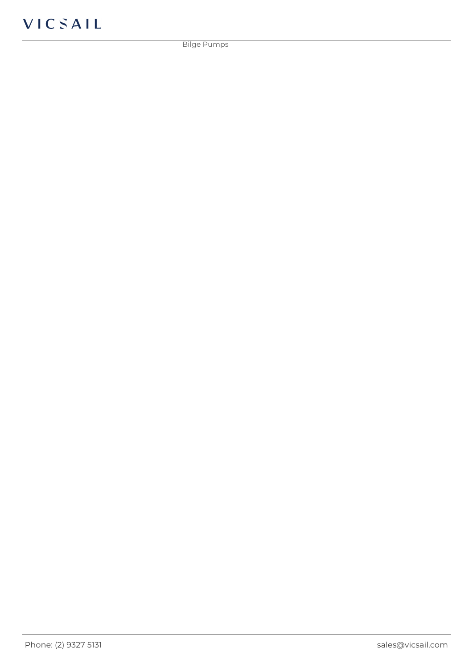Bilge Pumps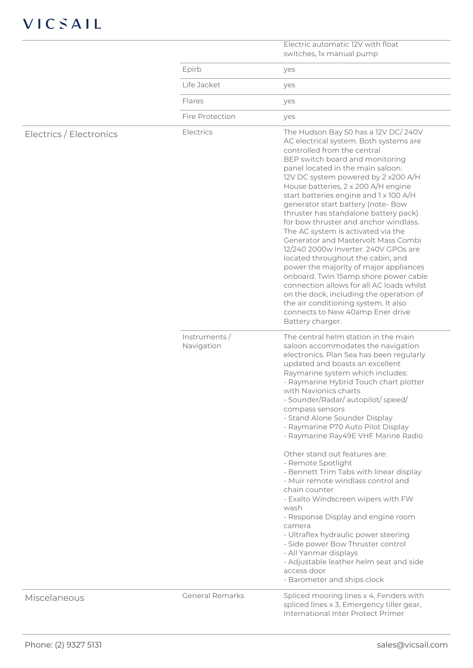|                         |                            | Electric automatic 12V with float<br>switches, 1x manual pump                                                                                                                                                                                                                                                                                                                                                                                                                                                                                                                                                                                                                                                                                                                                                                                                                    |
|-------------------------|----------------------------|----------------------------------------------------------------------------------------------------------------------------------------------------------------------------------------------------------------------------------------------------------------------------------------------------------------------------------------------------------------------------------------------------------------------------------------------------------------------------------------------------------------------------------------------------------------------------------------------------------------------------------------------------------------------------------------------------------------------------------------------------------------------------------------------------------------------------------------------------------------------------------|
|                         | Epirb                      | yes                                                                                                                                                                                                                                                                                                                                                                                                                                                                                                                                                                                                                                                                                                                                                                                                                                                                              |
|                         | Life Jacket                | yes                                                                                                                                                                                                                                                                                                                                                                                                                                                                                                                                                                                                                                                                                                                                                                                                                                                                              |
|                         | Flares                     | yes                                                                                                                                                                                                                                                                                                                                                                                                                                                                                                                                                                                                                                                                                                                                                                                                                                                                              |
|                         | <b>Fire Protection</b>     | yes                                                                                                                                                                                                                                                                                                                                                                                                                                                                                                                                                                                                                                                                                                                                                                                                                                                                              |
| Electrics / Electronics | Electrics                  | The Hudson Bay 50 has a 12V DC/240V<br>AC electrical system. Both systems are<br>controlled from the central<br>BEP switch board and monitoring<br>panel located in the main saloon.<br>12V DC system powered by 2 x200 A/H<br>House batteries, 2 x 200 A/H engine<br>start batteries engine and 1 x 100 A/H<br>generator start battery (note- Bow<br>thruster has standalone battery pack)<br>for bow thruster and anchor windlass.<br>The AC system is activated via the<br><b>Generator and Mastervolt Mass Combi</b><br>12/240 2000w Inverter. 240V GPOs are<br>located throughout the cabin, and<br>power the majority of major appliances<br>onboard. Twin 15amp shore power cable<br>connection allows for all AC loads whilst<br>on the dock, including the operation of<br>the air conditioning system. It also<br>connects to New 40amp Ener drive<br>Battery charger. |
|                         | Instruments/<br>Navigation | The central helm station in the main<br>saloon accommodates the navigation<br>electronics. Plan Sea has been regularly<br>updated and boasts an excellent<br>Raymarine system which includes:<br>- Raymarine Hybrid Touch chart plotter<br>with Navionics charts<br>- Sounder/Radar/ autopilot/ speed/<br>compass sensors<br>- Stand Alone Sounder Display<br>- Raymarine P70 Auto Pilot Display<br>- Raymarine Ray49E VHF Marine Radio<br>Other stand out features are:<br>- Remote Spotlight                                                                                                                                                                                                                                                                                                                                                                                   |
|                         |                            | - Bennett Trim Tabs with linear display<br>- Muir remote windlass control and<br>chain counter<br>- Exalto Windscreen wipers with FW<br>wash<br>- Response Display and engine room<br>camera<br>- Ultraflex hydraulic power steering<br>- Side power Bow Thruster control<br>- All Yanmar displays<br>- Adjustable leather helm seat and side                                                                                                                                                                                                                                                                                                                                                                                                                                                                                                                                    |
|                         |                            | access door<br>- Barometer and ships clock                                                                                                                                                                                                                                                                                                                                                                                                                                                                                                                                                                                                                                                                                                                                                                                                                                       |
| Miscelaneous            | <b>General Remarks</b>     | Spliced mooring lines x 4, Fenders with<br>spliced lines x 3, Emergency tiller gear,<br>International Inter Protect Primer                                                                                                                                                                                                                                                                                                                                                                                                                                                                                                                                                                                                                                                                                                                                                       |